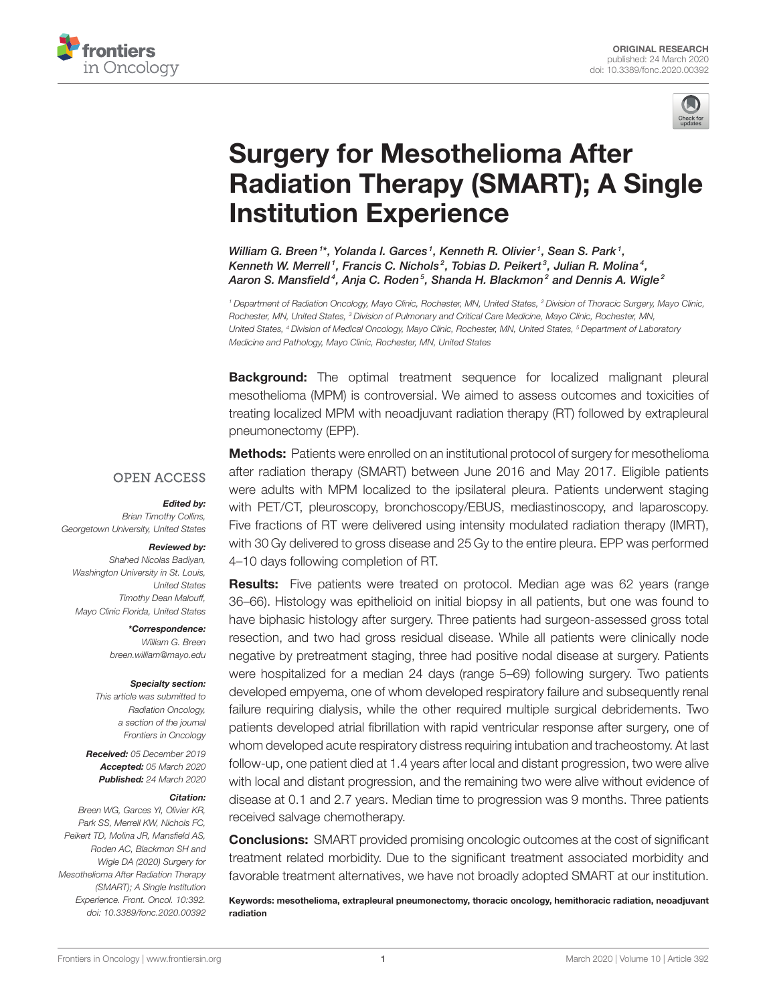



# Surgery for Mesothelioma After [Radiation Therapy \(SMART\); A Single](https://www.frontiersin.org/articles/10.3389/fonc.2020.00392/full) Institution Experience

[William G. Breen](http://loop.frontiersin.org/people/862613/overview)<sup>1\*</sup>, [Yolanda I. Garces](http://loop.frontiersin.org/people/28893/overview)<sup>1</sup>, [Kenneth R. Olivier](http://loop.frontiersin.org/people/28907/overview)<sup>1</sup>, [Sean S. Park](http://loop.frontiersin.org/people/28885/overview)<sup>1</sup>, [Kenneth W. Merrell](http://loop.frontiersin.org/people/197388/overview)<sup>1</sup>, Francis C. Nichols<sup>2</sup>, Tobias D. Peikert<sup>3</sup>, Julian R. Molina<sup>4</sup>, [Aaron S. Mansfield](http://loop.frontiersin.org/people/765372/overview)<sup>4</sup>, Anja C. Roden<sup>5</sup>, Shanda H. Blackmon<sup>2</sup> and Dennis A. Wigle<sup>2</sup>

*<sup>1</sup> Department of Radiation Oncology, Mayo Clinic, Rochester, MN, United States, <sup>2</sup> Division of Thoracic Surgery, Mayo Clinic, Rochester, MN, United States, <sup>3</sup> Division of Pulmonary and Critical Care Medicine, Mayo Clinic, Rochester, MN, United States, <sup>4</sup> Division of Medical Oncology, Mayo Clinic, Rochester, MN, United States, <sup>5</sup> Department of Laboratory Medicine and Pathology, Mayo Clinic, Rochester, MN, United States*

**Background:** The optimal treatment sequence for localized malignant pleural mesothelioma (MPM) is controversial. We aimed to assess outcomes and toxicities of treating localized MPM with neoadjuvant radiation therapy (RT) followed by extrapleural pneumonectomy (EPP).

#### **OPEN ACCESS**

#### Edited by:

*Brian Timothy Collins, Georgetown University, United States*

#### Reviewed by:

*Shahed Nicolas Badiyan, Washington University in St. Louis, United States Timothy Dean Malouff, Mayo Clinic Florida, United States*

> \*Correspondence: *William G. Breen [breen.william@mayo.edu](mailto:breen.william@mayo.edu)*

#### Specialty section:

*This article was submitted to Radiation Oncology, a section of the journal Frontiers in Oncology*

Received: *05 December 2019* Accepted: *05 March 2020* Published: *24 March 2020*

#### Citation:

*Breen WG, Garces YI, Olivier KR, Park SS, Merrell KW, Nichols FC, Peikert TD, Molina JR, Mansfield AS, Roden AC, Blackmon SH and Wigle DA (2020) Surgery for Mesothelioma After Radiation Therapy (SMART); A Single Institution Experience. Front. Oncol. 10:392. doi: [10.3389/fonc.2020.00392](https://doi.org/10.3389/fonc.2020.00392)*

**Methods:** Patients were enrolled on an institutional protocol of surgery for mesothelioma after radiation therapy (SMART) between June 2016 and May 2017. Eligible patients were adults with MPM localized to the ipsilateral pleura. Patients underwent staging with PET/CT, pleuroscopy, bronchoscopy/EBUS, mediastinoscopy, and laparoscopy. Five fractions of RT were delivered using intensity modulated radiation therapy (IMRT), with 30 Gy delivered to gross disease and 25 Gy to the entire pleura. EPP was performed 4–10 days following completion of RT.

Results: Five patients were treated on protocol. Median age was 62 years (range 36–66). Histology was epithelioid on initial biopsy in all patients, but one was found to have biphasic histology after surgery. Three patients had surgeon-assessed gross total resection, and two had gross residual disease. While all patients were clinically node negative by pretreatment staging, three had positive nodal disease at surgery. Patients were hospitalized for a median 24 days (range 5–69) following surgery. Two patients developed empyema, one of whom developed respiratory failure and subsequently renal failure requiring dialysis, while the other required multiple surgical debridements. Two patients developed atrial fibrillation with rapid ventricular response after surgery, one of whom developed acute respiratory distress requiring intubation and tracheostomy. At last follow-up, one patient died at 1.4 years after local and distant progression, two were alive with local and distant progression, and the remaining two were alive without evidence of disease at 0.1 and 2.7 years. Median time to progression was 9 months. Three patients received salvage chemotherapy.

Conclusions: SMART provided promising oncologic outcomes at the cost of significant treatment related morbidity. Due to the significant treatment associated morbidity and favorable treatment alternatives, we have not broadly adopted SMART at our institution.

Keywords: mesothelioma, extrapleural pneumonectomy, thoracic oncology, hemithoracic radiation, neoadjuvant radiation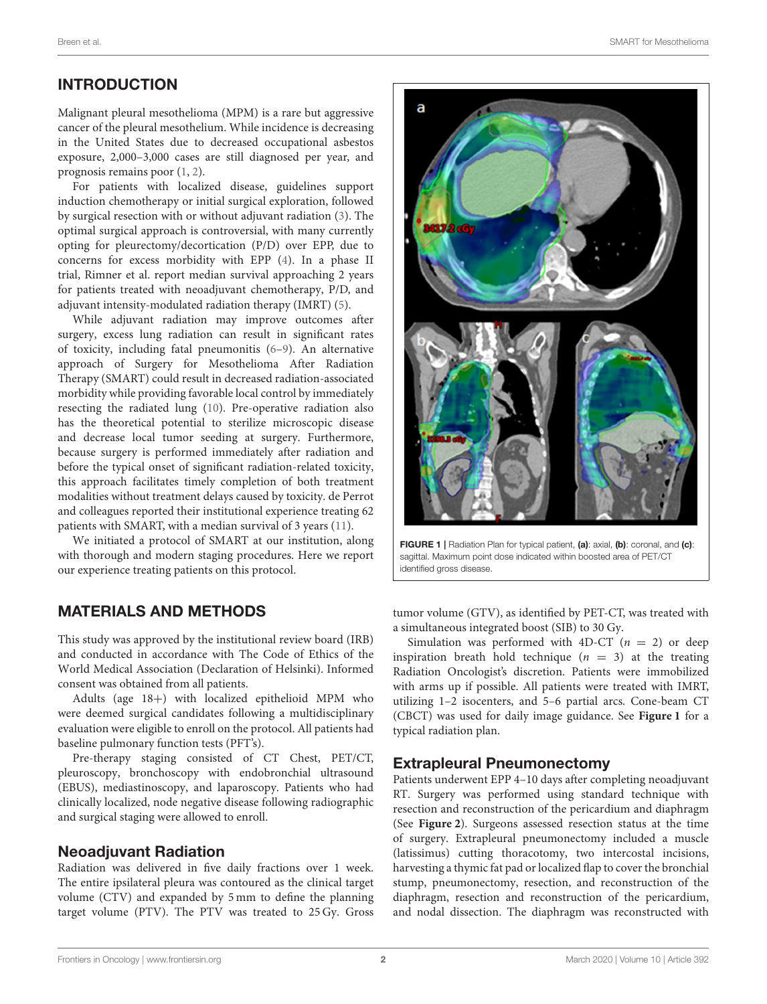# INTRODUCTION

Malignant pleural mesothelioma (MPM) is a rare but aggressive cancer of the pleural mesothelium. While incidence is decreasing in the United States due to decreased occupational asbestos exposure, 2,000–3,000 cases are still diagnosed per year, and prognosis remains poor [\(1,](#page-4-0) [2\)](#page-4-1).

For patients with localized disease, guidelines support induction chemotherapy or initial surgical exploration, followed by surgical resection with or without adjuvant radiation [\(3\)](#page-4-2). The optimal surgical approach is controversial, with many currently opting for pleurectomy/decortication (P/D) over EPP, due to concerns for excess morbidity with EPP [\(4\)](#page-4-3). In a phase II trial, Rimner et al. report median survival approaching 2 years for patients treated with neoadjuvant chemotherapy, P/D, and adjuvant intensity-modulated radiation therapy (IMRT) [\(5\)](#page-4-4).

While adjuvant radiation may improve outcomes after surgery, excess lung radiation can result in significant rates of toxicity, including fatal pneumonitis [\(6](#page-4-5)[–9\)](#page-4-6). An alternative approach of Surgery for Mesothelioma After Radiation Therapy (SMART) could result in decreased radiation-associated morbidity while providing favorable local control by immediately resecting the radiated lung [\(10\)](#page-4-7). Pre-operative radiation also has the theoretical potential to sterilize microscopic disease and decrease local tumor seeding at surgery. Furthermore, because surgery is performed immediately after radiation and before the typical onset of significant radiation-related toxicity, this approach facilitates timely completion of both treatment modalities without treatment delays caused by toxicity. de Perrot and colleagues reported their institutional experience treating 62 patients with SMART, with a median survival of 3 years [\(11\)](#page-4-8).

We initiated a protocol of SMART at our institution, along with thorough and modern staging procedures. Here we report our experience treating patients on this protocol.

# MATERIALS AND METHODS

This study was approved by the institutional review board (IRB) and conducted in accordance with The Code of Ethics of the World Medical Association (Declaration of Helsinki). Informed consent was obtained from all patients.

Adults (age 18+) with localized epithelioid MPM who were deemed surgical candidates following a multidisciplinary evaluation were eligible to enroll on the protocol. All patients had baseline pulmonary function tests (PFT's).

Pre-therapy staging consisted of CT Chest, PET/CT, pleuroscopy, bronchoscopy with endobronchial ultrasound (EBUS), mediastinoscopy, and laparoscopy. Patients who had clinically localized, node negative disease following radiographic and surgical staging were allowed to enroll.

### Neoadjuvant Radiation

Radiation was delivered in five daily fractions over 1 week. The entire ipsilateral pleura was contoured as the clinical target volume (CTV) and expanded by 5 mm to define the planning target volume (PTV). The PTV was treated to 25 Gy. Gross



<span id="page-1-0"></span>FIGURE 1 | Radiation Plan for typical patient, (a): axial, (b): coronal, and (c): sagittal. Maximum point dose indicated within boosted area of PET/CT identified gross disease.

tumor volume (GTV), as identified by PET-CT, was treated with a simultaneous integrated boost (SIB) to 30 Gy.

Simulation was performed with 4D-CT  $(n = 2)$  or deep inspiration breath hold technique ( $n = 3$ ) at the treating Radiation Oncologist's discretion. Patients were immobilized with arms up if possible. All patients were treated with IMRT, utilizing 1–2 isocenters, and 5–6 partial arcs. Cone-beam CT (CBCT) was used for daily image guidance. See **[Figure 1](#page-1-0)** for a typical radiation plan.

### Extrapleural Pneumonectomy

Patients underwent EPP 4–10 days after completing neoadjuvant RT. Surgery was performed using standard technique with resection and reconstruction of the pericardium and diaphragm (See **[Figure 2](#page-2-0)**). Surgeons assessed resection status at the time of surgery. Extrapleural pneumonectomy included a muscle (latissimus) cutting thoracotomy, two intercostal incisions, harvesting a thymic fat pad or localized flap to cover the bronchial stump, pneumonectomy, resection, and reconstruction of the diaphragm, resection and reconstruction of the pericardium, and nodal dissection. The diaphragm was reconstructed with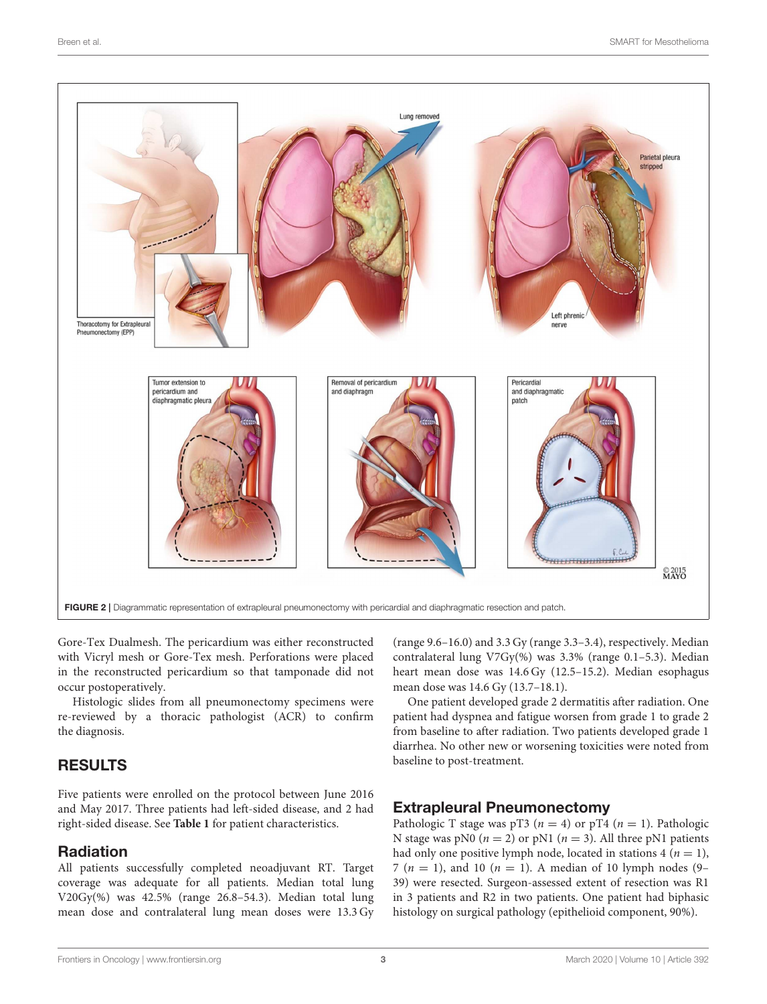

<span id="page-2-0"></span>Gore-Tex Dualmesh. The pericardium was either reconstructed with Vicryl mesh or Gore-Tex mesh. Perforations were placed in the reconstructed pericardium so that tamponade did not occur postoperatively.

Histologic slides from all pneumonectomy specimens were re-reviewed by a thoracic pathologist (ACR) to confirm the diagnosis.

# RESULTS

Five patients were enrolled on the protocol between June 2016 and May 2017. Three patients had left-sided disease, and 2 had right-sided disease. See **[Table 1](#page-3-0)** for patient characteristics.

# Radiation

All patients successfully completed neoadjuvant RT. Target coverage was adequate for all patients. Median total lung V20Gy(%) was 42.5% (range 26.8–54.3). Median total lung mean dose and contralateral lung mean doses were 13.3 Gy (range 9.6–16.0) and 3.3 Gy (range 3.3–3.4), respectively. Median contralateral lung V7Gy(%) was 3.3% (range 0.1–5.3). Median heart mean dose was 14.6 Gy (12.5–15.2). Median esophagus mean dose was 14.6 Gy (13.7–18.1).

One patient developed grade 2 dermatitis after radiation. One patient had dyspnea and fatigue worsen from grade 1 to grade 2 from baseline to after radiation. Two patients developed grade 1 diarrhea. No other new or worsening toxicities were noted from baseline to post-treatment.

# Extrapleural Pneumonectomy

Pathologic T stage was pT3 ( $n = 4$ ) or pT4 ( $n = 1$ ). Pathologic N stage was pN0 ( $n = 2$ ) or pN1 ( $n = 3$ ). All three pN1 patients had only one positive lymph node, located in stations  $4 (n = 1)$ , 7 ( $n = 1$ ), and 10 ( $n = 1$ ). A median of 10 lymph nodes (9– 39) were resected. Surgeon-assessed extent of resection was R1 in 3 patients and R2 in two patients. One patient had biphasic histology on surgical pathology (epithelioid component, 90%).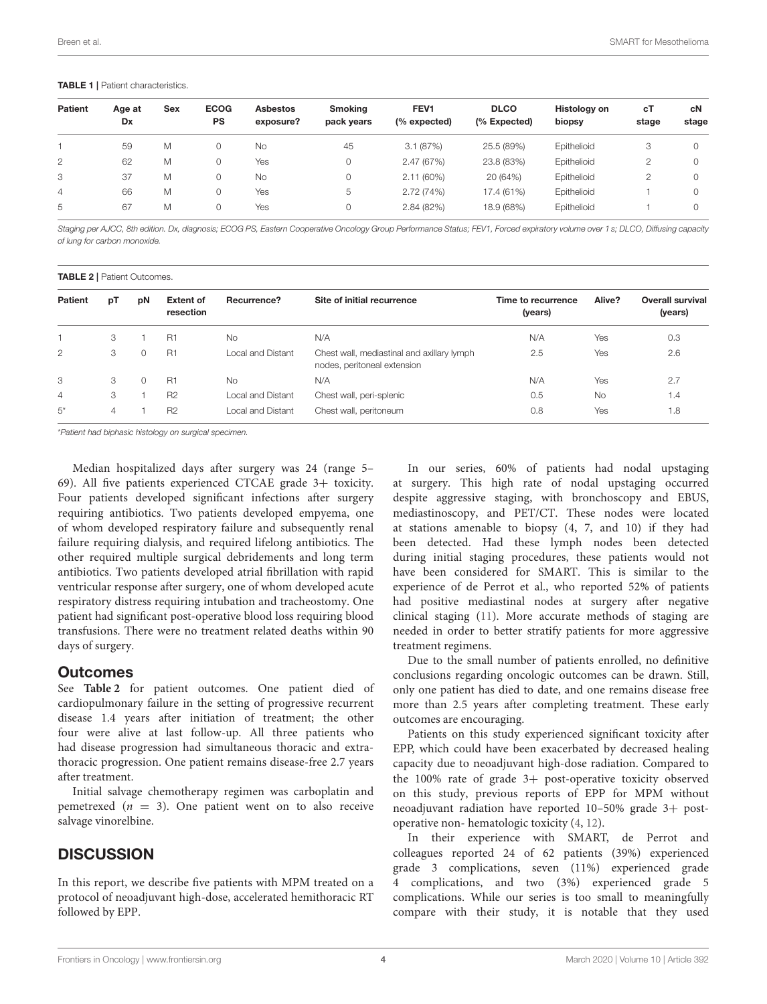#### <span id="page-3-0"></span>TABLE 1 | Patient characteristics.

| <b>Patient</b> | Age at<br>Dx | <b>Sex</b> | <b>ECOG</b><br>PS | <b>Asbestos</b><br>exposure? | <b>Smoking</b><br>pack years | FEV <sub>1</sub><br>$%$ expected) | <b>DLCO</b><br>(% Expected) | Histology on<br>biopsy | сT<br>stage | сN<br>stage |
|----------------|--------------|------------|-------------------|------------------------------|------------------------------|-----------------------------------|-----------------------------|------------------------|-------------|-------------|
|                | 59           | M          | 0                 | <b>No</b>                    | 45                           | 3.1(87%)                          | 25.5 (89%)                  | Epithelioid            | 3           |             |
| $\overline{2}$ | 62           | М          | 0                 | Yes                          |                              | 2.47 (67%)                        | 23.8 (83%)                  | Epithelioid            | 2           |             |
| 3              | 37           | М          | 0                 | <b>No</b>                    |                              | $2.11(60\%)$                      | 20 (64%)                    | Epithelioid            | 2           |             |
| $\overline{4}$ | 66           | M          | 0                 | Yes                          | 5                            | 2.72(74%)                         | 17.4 (61%)                  | Epithelioid            |             |             |
| 5              | 67           | М          | 0                 | Yes                          |                              | 2.84 (82%)                        | 18.9 (68%)                  | Epithelioid            |             |             |

*Staging per AJCC, 8th edition. Dx, diagnosis; ECOG PS, Eastern Cooperative Oncology Group Performance Status; FEV1, Forced expiratory volume over 1 s; DLCO, Diffusing capacity of lung for carbon monoxide.*

<span id="page-3-1"></span>TABLE 2 | Patient Outcomes.

| <b>Patient</b> | рT | pN | <b>Extent of</b><br>resection | Recurrence?       | Site of initial recurrence                                                | Time to recurrence<br>(years) | Alive?    | <b>Overall survival</b><br>(years) |
|----------------|----|----|-------------------------------|-------------------|---------------------------------------------------------------------------|-------------------------------|-----------|------------------------------------|
|                | 3  |    | <b>R1</b>                     | <b>No</b>         | N/A                                                                       | N/A                           | Yes       | 0.3                                |
| 2              | 3  | 0  | <b>R1</b>                     | Local and Distant | Chest wall, mediastinal and axillary lymph<br>nodes, peritoneal extension | 2.5                           | Yes       | 2.6                                |
| 3              | 3  | 0  | <b>R1</b>                     | No.               | N/A                                                                       | N/A                           | Yes       | 2.7                                |
| $\overline{4}$ | 3  |    | R <sub>2</sub>                | Local and Distant | Chest wall, peri-splenic                                                  | 0.5                           | <b>No</b> | 1.4                                |
| $5^*$          | 4  |    | R <sub>2</sub>                | Local and Distant | Chest wall, peritoneum                                                    | 0.8                           | Yes       | 1.8                                |

\**Patient had biphasic histology on surgical specimen.*

Median hospitalized days after surgery was 24 (range 5– 69). All five patients experienced CTCAE grade 3+ toxicity. Four patients developed significant infections after surgery requiring antibiotics. Two patients developed empyema, one of whom developed respiratory failure and subsequently renal failure requiring dialysis, and required lifelong antibiotics. The other required multiple surgical debridements and long term antibiotics. Two patients developed atrial fibrillation with rapid ventricular response after surgery, one of whom developed acute respiratory distress requiring intubation and tracheostomy. One patient had significant post-operative blood loss requiring blood transfusions. There were no treatment related deaths within 90 days of surgery.

#### **Outcomes**

See **[Table 2](#page-3-1)** for patient outcomes. One patient died of cardiopulmonary failure in the setting of progressive recurrent disease 1.4 years after initiation of treatment; the other four were alive at last follow-up. All three patients who had disease progression had simultaneous thoracic and extrathoracic progression. One patient remains disease-free 2.7 years after treatment.

Initial salvage chemotherapy regimen was carboplatin and pemetrexed  $(n = 3)$ . One patient went on to also receive salvage vinorelbine.

# **DISCUSSION**

In this report, we describe five patients with MPM treated on a protocol of neoadjuvant high-dose, accelerated hemithoracic RT followed by EPP.

In our series, 60% of patients had nodal upstaging at surgery. This high rate of nodal upstaging occurred despite aggressive staging, with bronchoscopy and EBUS, mediastinoscopy, and PET/CT. These nodes were located at stations amenable to biopsy (4, 7, and 10) if they had been detected. Had these lymph nodes been detected during initial staging procedures, these patients would not have been considered for SMART. This is similar to the experience of de Perrot et al., who reported 52% of patients had positive mediastinal nodes at surgery after negative clinical staging [\(11\)](#page-4-8). More accurate methods of staging are needed in order to better stratify patients for more aggressive treatment regimens.

Due to the small number of patients enrolled, no definitive conclusions regarding oncologic outcomes can be drawn. Still, only one patient has died to date, and one remains disease free more than 2.5 years after completing treatment. These early outcomes are encouraging.

Patients on this study experienced significant toxicity after EPP, which could have been exacerbated by decreased healing capacity due to neoadjuvant high-dose radiation. Compared to the  $100\%$  rate of grade  $3+$  post-operative toxicity observed on this study, previous reports of EPP for MPM without neoadjuvant radiation have reported 10–50% grade 3+ postoperative non- hematologic toxicity [\(4,](#page-4-3) [12\)](#page-5-0).

In their experience with SMART, de Perrot and colleagues reported 24 of 62 patients (39%) experienced grade 3 complications, seven (11%) experienced grade 4 complications, and two (3%) experienced grade 5 complications. While our series is too small to meaningfully compare with their study, it is notable that they used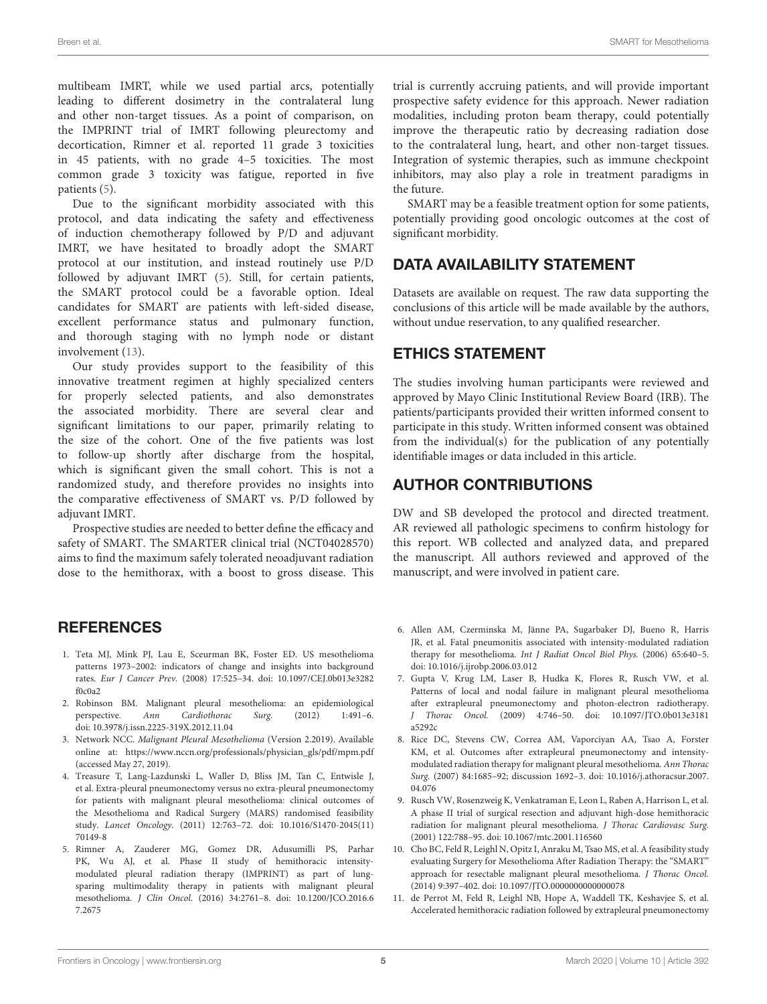multibeam IMRT, while we used partial arcs, potentially leading to different dosimetry in the contralateral lung and other non-target tissues. As a point of comparison, on the IMPRINT trial of IMRT following pleurectomy and decortication, Rimner et al. reported 11 grade 3 toxicities in 45 patients, with no grade 4–5 toxicities. The most common grade 3 toxicity was fatigue, reported in five patients [\(5\)](#page-4-4).

Due to the significant morbidity associated with this protocol, and data indicating the safety and effectiveness of induction chemotherapy followed by P/D and adjuvant IMRT, we have hesitated to broadly adopt the SMART protocol at our institution, and instead routinely use P/D followed by adjuvant IMRT [\(5\)](#page-4-4). Still, for certain patients, the SMART protocol could be a favorable option. Ideal candidates for SMART are patients with left-sided disease, excellent performance status and pulmonary function, and thorough staging with no lymph node or distant involvement [\(13\)](#page-5-1).

Our study provides support to the feasibility of this innovative treatment regimen at highly specialized centers for properly selected patients, and also demonstrates the associated morbidity. There are several clear and significant limitations to our paper, primarily relating to the size of the cohort. One of the five patients was lost to follow-up shortly after discharge from the hospital, which is significant given the small cohort. This is not a randomized study, and therefore provides no insights into the comparative effectiveness of SMART vs. P/D followed by adjuvant IMRT.

Prospective studies are needed to better define the efficacy and safety of SMART. The SMARTER clinical trial (NCT04028570) aims to find the maximum safely tolerated neoadjuvant radiation dose to the hemithorax, with a boost to gross disease. This

### **REFERENCES**

- <span id="page-4-0"></span>1. Teta MJ, Mink PJ, Lau E, Sceurman BK, Foster ED. US mesothelioma patterns 1973–2002: indicators of change and insights into background rates. Eur J Cancer Prev. [\(2008\) 17:525–34. doi: 10.1097/CEJ.0b013e3282](https://doi.org/10.1097/CEJ.0b013e3282f0c0a2) f0c0a2
- <span id="page-4-1"></span>2. Robinson BM. Malignant pleural mesothelioma: an epidemiological perspective. Ann Cardiothorac Surg. (2012) 1:491–6. doi: [10.3978/j.issn.2225-319X.2012.11.04](https://doi.org/10.3978/j.issn.2225-319X.2012.11.04)
- <span id="page-4-2"></span>3. Network NCC. Malignant Pleural Mesothelioma (Version 2.2019). Available online at: [https://www.nccn.org/professionals/physician\\_gls/pdf/mpm.pdf](https://www.nccn.org/professionals/physician_gls/pdf/mpm.pdf) (accessed May 27, 2019).
- <span id="page-4-3"></span>4. Treasure T, Lang-Lazdunski L, Waller D, Bliss JM, Tan C, Entwisle J, et al. Extra-pleural pneumonectomy versus no extra-pleural pneumonectomy for patients with malignant pleural mesothelioma: clinical outcomes of the Mesothelioma and Radical Surgery (MARS) randomised feasibility study. Lancet Oncology. [\(2011\) 12:763–72. doi: 10.1016/S1470-2045\(11\)](https://doi.org/10.1016/S1470-2045(11)70149-8) 70149-8
- <span id="page-4-4"></span>5. Rimner A, Zauderer MG, Gomez DR, Adusumilli PS, Parhar PK, Wu AJ, et al. Phase II study of hemithoracic intensitymodulated pleural radiation therapy (IMPRINT) as part of lungsparing multimodality therapy in patients with malignant pleural mesothelioma. J Clin Oncol. [\(2016\) 34:2761–8. doi: 10.1200/JCO.2016.6](https://doi.org/10.1200/JCO.2016.67.2675) 7.2675

trial is currently accruing patients, and will provide important prospective safety evidence for this approach. Newer radiation modalities, including proton beam therapy, could potentially improve the therapeutic ratio by decreasing radiation dose to the contralateral lung, heart, and other non-target tissues. Integration of systemic therapies, such as immune checkpoint inhibitors, may also play a role in treatment paradigms in the future.

SMART may be a feasible treatment option for some patients, potentially providing good oncologic outcomes at the cost of significant morbidity.

# DATA AVAILABILITY STATEMENT

Datasets are available on request. The raw data supporting the conclusions of this article will be made available by the authors, without undue reservation, to any qualified researcher.

### ETHICS STATEMENT

The studies involving human participants were reviewed and approved by Mayo Clinic Institutional Review Board (IRB). The patients/participants provided their written informed consent to participate in this study. Written informed consent was obtained from the individual(s) for the publication of any potentially identifiable images or data included in this article.

### AUTHOR CONTRIBUTIONS

DW and SB developed the protocol and directed treatment. AR reviewed all pathologic specimens to confirm histology for this report. WB collected and analyzed data, and prepared the manuscript. All authors reviewed and approved of the manuscript, and were involved in patient care.

- <span id="page-4-5"></span>6. Allen AM, Czerminska M, Jänne PA, Sugarbaker DJ, Bueno R, Harris JR, et al. Fatal pneumonitis associated with intensity-modulated radiation therapy for mesothelioma. Int J Radiat Oncol Biol Phys. (2006) 65:640–5. doi: [10.1016/j.ijrobp.2006.03.012](https://doi.org/10.1016/j.ijrobp.2006.03.012)
- 7. Gupta V, Krug LM, Laser B, Hudka K, Flores R, Rusch VW, et al. Patterns of local and nodal failure in malignant pleural mesothelioma after extrapleural pneumonectomy and photon-electron radiotherapy. J Thorac Oncol. [\(2009\) 4:746–50. doi: 10.1097/JTO.0b013e3181](https://doi.org/10.1097/JTO.0b013e3181a5292c) a5292c
- 8. Rice DC, Stevens CW, Correa AM, Vaporciyan AA, Tsao A, Forster KM, et al. Outcomes after extrapleural pneumonectomy and intensitymodulated radiation therapy for malignant pleural mesothelioma. Ann Thorac Surg. [\(2007\) 84:1685–92; discussion 1692–3. doi: 10.1016/j.athoracsur.2007.](https://doi.org/10.1016/j.athoracsur.2007.04.076) 04.076
- <span id="page-4-6"></span>9. Rusch VW, Rosenzweig K, Venkatraman E, Leon L, Raben A, Harrison L, et al. A phase II trial of surgical resection and adjuvant high-dose hemithoracic radiation for malignant pleural mesothelioma. J Thorac Cardiovasc Surg. (2001) 122:788–95. doi: [10.1067/mtc.2001.116560](https://doi.org/10.1067/mtc.2001.116560)
- <span id="page-4-7"></span>10. Cho BC, Feld R, Leighl N, Opitz I, Anraku M, Tsao MS, et al. A feasibility study evaluating Surgery for Mesothelioma After Radiation Therapy: the "SMART" approach for resectable malignant pleural mesothelioma. J Thorac Oncol. (2014) 9:397–402. doi: [10.1097/JTO.0000000000000078](https://doi.org/10.1097/JTO.0000000000000078)
- <span id="page-4-8"></span>11. de Perrot M, Feld R, Leighl NB, Hope A, Waddell TK, Keshavjee S, et al. Accelerated hemithoracic radiation followed by extrapleural pneumonectomy